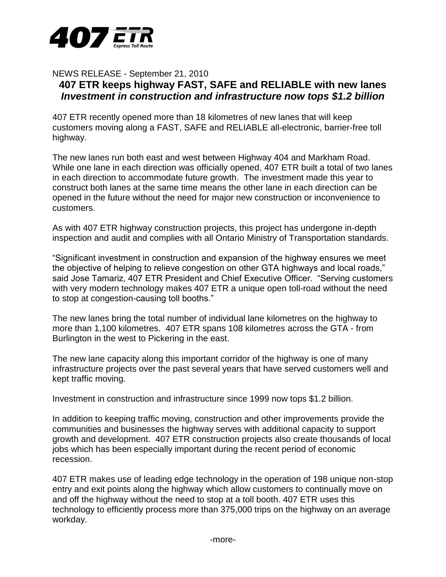

NEWS RELEASE - September 21, 2010

# **407 ETR keeps highway FAST, SAFE and RELIABLE with new lanes** *Investment in construction and infrastructure now tops \$1.2 billion*

407 ETR recently opened more than 18 kilometres of new lanes that will keep customers moving along a FAST, SAFE and RELIABLE all-electronic, barrier-free toll highway.

The new lanes run both east and west between Highway 404 and Markham Road. While one lane in each direction was officially opened, 407 ETR built a total of two lanes in each direction to accommodate future growth. The investment made this year to construct both lanes at the same time means the other lane in each direction can be opened in the future without the need for major new construction or inconvenience to customers.

As with 407 ETR highway construction projects, this project has undergone in-depth inspection and audit and complies with all Ontario Ministry of Transportation standards.

"Significant investment in construction and expansion of the highway ensures we meet the objective of helping to relieve congestion on other GTA highways and local roads," said Jose Tamariz, 407 ETR President and Chief Executive Officer. "Serving customers with very modern technology makes 407 ETR a unique open toll-road without the need to stop at congestion-causing toll booths."

The new lanes bring the total number of individual lane kilometres on the highway to more than 1,100 kilometres. 407 ETR spans 108 kilometres across the GTA - from Burlington in the west to Pickering in the east.

The new lane capacity along this important corridor of the highway is one of many infrastructure projects over the past several years that have served customers well and kept traffic moving.

Investment in construction and infrastructure since 1999 now tops \$1.2 billion.

In addition to keeping traffic moving, construction and other improvements provide the communities and businesses the highway serves with additional capacity to support growth and development. 407 ETR construction projects also create thousands of local jobs which has been especially important during the recent period of economic recession.

407 ETR makes use of leading edge technology in the operation of 198 unique non-stop entry and exit points along the highway which allow customers to continually move on and off the highway without the need to stop at a toll booth. 407 ETR uses this technology to efficiently process more than 375,000 trips on the highway on an average workday.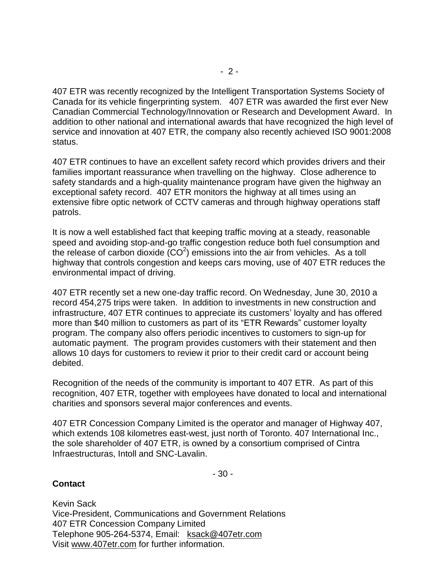407 ETR was recently recognized by the Intelligent Transportation Systems Society of Canada for its vehicle fingerprinting system. 407 ETR was awarded the first ever New Canadian Commercial Technology/Innovation or Research and Development Award. In addition to other national and international awards that have recognized the high level of service and innovation at 407 ETR, the company also recently achieved ISO 9001:2008 status.

407 ETR continues to have an excellent safety record which provides drivers and their families important reassurance when travelling on the highway. Close adherence to safety standards and a high-quality maintenance program have given the highway an exceptional safety record. 407 ETR monitors the highway at all times using an extensive fibre optic network of CCTV cameras and through highway operations staff patrols.

It is now a well established fact that keeping traffic moving at a steady, reasonable speed and avoiding stop-and-go traffic congestion reduce both fuel consumption and the release of carbon dioxide  $(CO<sup>2</sup>)$  emissions into the air from vehicles. As a toll highway that controls congestion and keeps cars moving, use of 407 ETR reduces the environmental impact of driving.

407 ETR recently set a new one-day traffic record. On Wednesday, June 30, 2010 a record 454,275 trips were taken. In addition to investments in new construction and infrastructure, 407 ETR continues to appreciate its customers' loyalty and has offered more than \$40 million to customers as part of its "ETR Rewards" customer loyalty program. The company also offers periodic incentives to customers to sign-up for automatic payment. The program provides customers with their statement and then allows 10 days for customers to review it prior to their credit card or account being debited.

Recognition of the needs of the community is important to 407 ETR. As part of this recognition, 407 ETR, together with employees have donated to local and international charities and sponsors several major conferences and events.

407 ETR Concession Company Limited is the operator and manager of Highway 407, which extends 108 kilometres east-west, just north of Toronto. 407 International Inc., the sole shareholder of 407 ETR, is owned by a consortium comprised of Cintra Infraestructuras, Intoll and SNC-Lavalin.

- 30 -

**Contact**

Kevin Sack Vice-President, Communications and Government Relations 407 ETR Concession Company Limited Telephone 905-264-5374, Email: [ksack@407etr.com](mailto:ksack@407etr.com) Visit [www.407etr.com](http://www.407etr.com/) for further information.